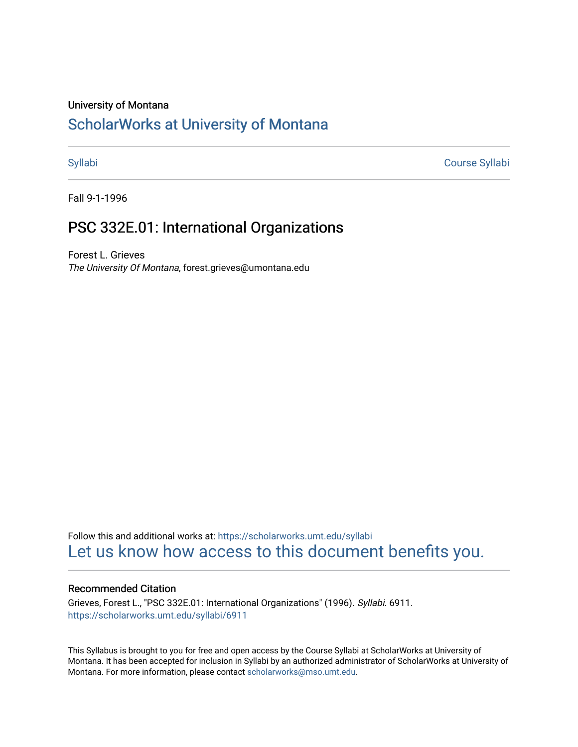#### University of Montana

# [ScholarWorks at University of Montana](https://scholarworks.umt.edu/)

[Syllabi](https://scholarworks.umt.edu/syllabi) [Course Syllabi](https://scholarworks.umt.edu/course_syllabi) 

Fall 9-1-1996

## PSC 332E.01: International Organizations

Forest L. Grieves The University Of Montana, forest.grieves@umontana.edu

Follow this and additional works at: [https://scholarworks.umt.edu/syllabi](https://scholarworks.umt.edu/syllabi?utm_source=scholarworks.umt.edu%2Fsyllabi%2F6911&utm_medium=PDF&utm_campaign=PDFCoverPages)  [Let us know how access to this document benefits you.](https://goo.gl/forms/s2rGfXOLzz71qgsB2) 

#### Recommended Citation

Grieves, Forest L., "PSC 332E.01: International Organizations" (1996). Syllabi. 6911. [https://scholarworks.umt.edu/syllabi/6911](https://scholarworks.umt.edu/syllabi/6911?utm_source=scholarworks.umt.edu%2Fsyllabi%2F6911&utm_medium=PDF&utm_campaign=PDFCoverPages)

This Syllabus is brought to you for free and open access by the Course Syllabi at ScholarWorks at University of Montana. It has been accepted for inclusion in Syllabi by an authorized administrator of ScholarWorks at University of Montana. For more information, please contact [scholarworks@mso.umt.edu.](mailto:scholarworks@mso.umt.edu)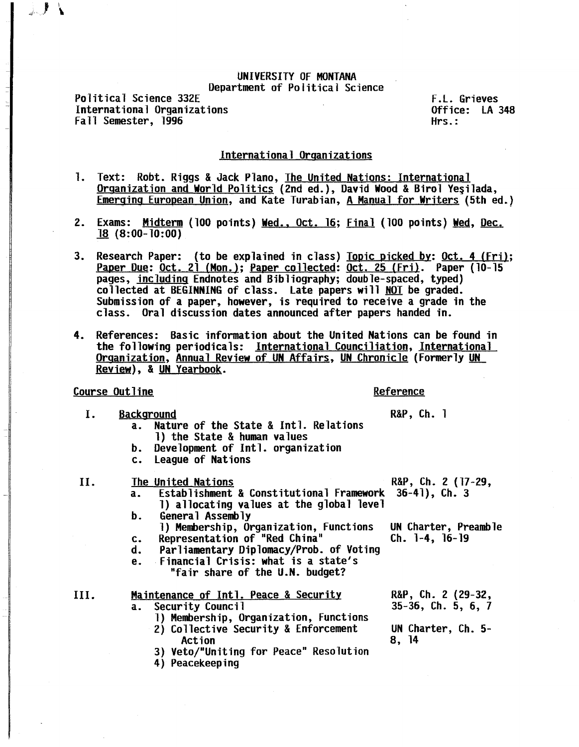#### UNIVERSITY OF MONTANA Department of Political Science

Political Science 332E International Organizations Fall Semester, 1996 F.L. Grieves Office: LA 348 Hrs.:

### International Organizations

- 1. Text: Robt. Riggs & Jack Plano, The United Nations: International Organization and World Politics (2nd ed.), David Wood & Birol Yeşilada, Emerging Eurooean Union, and Kate Turabian, A Manual for Writers (5th ed.)
- 2. Exams: Midterm (100 points) Wed., Oct. 16: Final (100 points) Wed, Dec. 18 (8:00-10:00)
- 3. Research Paper: (to be explained in class) Topic picked by: Oct. 4 (Fri); Paper Due: Oct. 21 (Mon.); Paper collected: Oct. 25 (Fri). Paper (10-15<br>pages, including Endnotes and Bibliography; double-spaced, typed) collected at BEGINNING of class. Late papers will <u>NOT</u> be graded.<br>Submission of a paper, however, is required to receive a grade in the class. Oral discussion dates announced after papers handed in.
- 4. References: Basic information about the United Nations can be found in the following periodicals: International Counciliation, International Organization, Annual Review of UN Affairs, UN Chronicle (Formerly UN Revjew), & UN Yearbook.

#### Course Outline **Course Course Course** Course in the Reference

- I. Background<br>
a. Nature of the State & Intl. Relations<br>
R&P, Ch. 1 Nature of the State & Intl. Relations l) the State & human values
	- b. Development of Intl. organization
	- c. League of Nations
- II. The United Nations R&P, Ch. 2 (17-29,
	- a. Establishment & Constitutional Framework 36-41), Ch. 3 1) allocating values at the global level<br>General Assembly
	- b. General Assembly<br>
	1) Membership, Organization, Functions UN Charter, Preamble<br>
	c. Representation of "Red China" Ch. 1-4, 16-19
	- c. Representation of "Red China"
	- d. Parliamentary Diplomacy/Prob. of Voting
	- e. Financial Crisis: what is a state's "fair share of the U.N. budget?

# III. Maintenance of Intl. Peace & Security R&P, Ch. 2 (29-32, a. Security Council 35-36, Ch. 5, 6, 7

- 1) Membership, Organization, Functions
	- 2) Collective Security & Enforcement UN Charter, Ch. 5-<br>Action 8, 14
	- 3) Veto/"Uniting for Peace" Resolution
	- 4) Peacekeeping

 $35-36$ , Ch. 5, 6, 7

8, 14